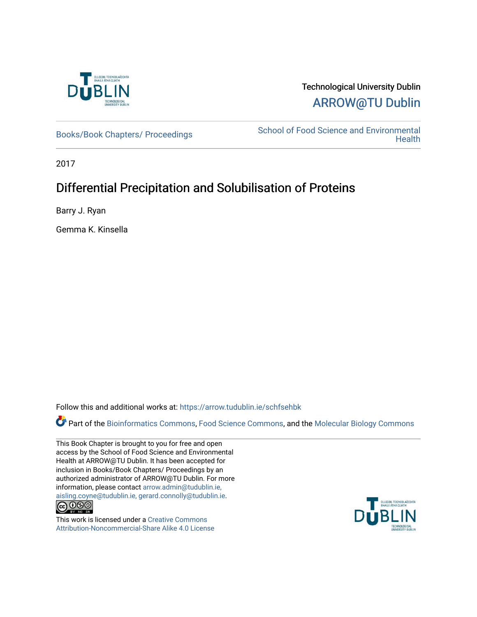

## Technological University Dublin [ARROW@TU Dublin](https://arrow.tudublin.ie/)

[Books/Book Chapters/ Proceedings](https://arrow.tudublin.ie/schfsehbk) School of Food Science and Environmental **Health** 

2017

# Differential Precipitation and Solubilisation of Proteins

Barry J. Ryan

Gemma K. Kinsella

Follow this and additional works at: [https://arrow.tudublin.ie/schfsehbk](https://arrow.tudublin.ie/schfsehbk?utm_source=arrow.tudublin.ie%2Fschfsehbk%2F13&utm_medium=PDF&utm_campaign=PDFCoverPages) 

Part of the [Bioinformatics Commons,](http://network.bepress.com/hgg/discipline/110?utm_source=arrow.tudublin.ie%2Fschfsehbk%2F13&utm_medium=PDF&utm_campaign=PDFCoverPages) [Food Science Commons,](http://network.bepress.com/hgg/discipline/84?utm_source=arrow.tudublin.ie%2Fschfsehbk%2F13&utm_medium=PDF&utm_campaign=PDFCoverPages) and the [Molecular Biology Commons](http://network.bepress.com/hgg/discipline/5?utm_source=arrow.tudublin.ie%2Fschfsehbk%2F13&utm_medium=PDF&utm_campaign=PDFCoverPages) 

This Book Chapter is brought to you for free and open access by the School of Food Science and Environmental Health at ARROW@TU Dublin. It has been accepted for inclusion in Books/Book Chapters/ Proceedings by an authorized administrator of ARROW@TU Dublin. For more information, please contact [arrow.admin@tudublin.ie,](mailto:arrow.admin@tudublin.ie,%20aisling.coyne@tudublin.ie,%20gerard.connolly@tudublin.ie)  [aisling.coyne@tudublin.ie, gerard.connolly@tudublin.ie](mailto:arrow.admin@tudublin.ie,%20aisling.coyne@tudublin.ie,%20gerard.connolly@tudublin.ie).



This work is licensed under a [Creative Commons](http://creativecommons.org/licenses/by-nc-sa/4.0/) [Attribution-Noncommercial-Share Alike 4.0 License](http://creativecommons.org/licenses/by-nc-sa/4.0/)

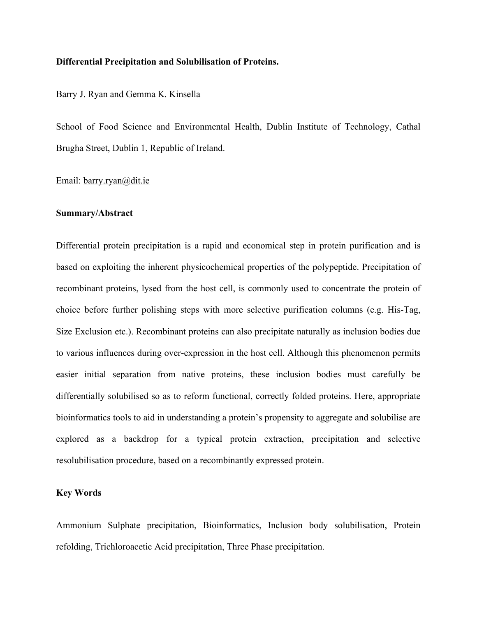#### **Differential Precipitation and Solubilisation of Proteins.**

#### Barry J. Ryan and Gemma K. Kinsella

School of Food Science and Environmental Health, Dublin Institute of Technology, Cathal Brugha Street, Dublin 1, Republic of Ireland.

#### Email: barry.ryan@dit.ie

#### **Summary/Abstract**

Differential protein precipitation is a rapid and economical step in protein purification and is based on exploiting the inherent physicochemical properties of the polypeptide. Precipitation of recombinant proteins, lysed from the host cell, is commonly used to concentrate the protein of choice before further polishing steps with more selective purification columns (e.g. His-Tag, Size Exclusion etc.). Recombinant proteins can also precipitate naturally as inclusion bodies due to various influences during over-expression in the host cell. Although this phenomenon permits easier initial separation from native proteins, these inclusion bodies must carefully be differentially solubilised so as to reform functional, correctly folded proteins. Here, appropriate bioinformatics tools to aid in understanding a protein's propensity to aggregate and solubilise are explored as a backdrop for a typical protein extraction, precipitation and selective resolubilisation procedure, based on a recombinantly expressed protein.

## **Key Words**

Ammonium Sulphate precipitation, Bioinformatics, Inclusion body solubilisation, Protein refolding, Trichloroacetic Acid precipitation, Three Phase precipitation.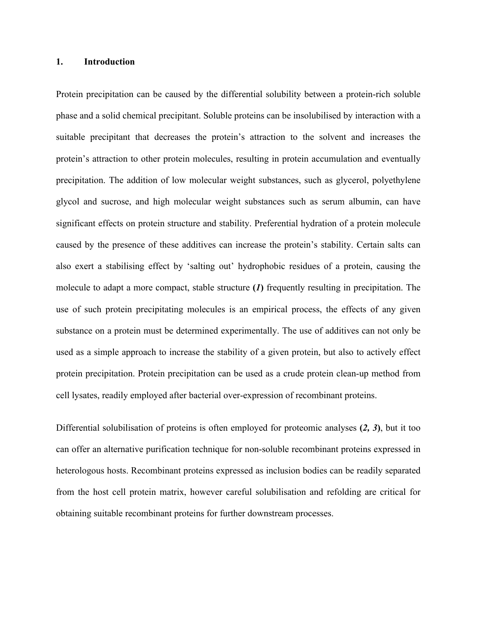#### **1. Introduction**

Protein precipitation can be caused by the differential solubility between a protein-rich soluble phase and a solid chemical precipitant. Soluble proteins can be insolubilised by interaction with a suitable precipitant that decreases the protein's attraction to the solvent and increases the protein's attraction to other protein molecules, resulting in protein accumulation and eventually precipitation. The addition of low molecular weight substances, such as glycerol, polyethylene glycol and sucrose, and high molecular weight substances such as serum albumin, can have significant effects on protein structure and stability. Preferential hydration of a protein molecule caused by the presence of these additives can increase the protein's stability. Certain salts can also exert a stabilising effect by 'salting out' hydrophobic residues of a protein, causing the molecule to adapt a more compact, stable structure **(***1***)** frequently resulting in precipitation. The use of such protein precipitating molecules is an empirical process, the effects of any given substance on a protein must be determined experimentally. The use of additives can not only be used as a simple approach to increase the stability of a given protein, but also to actively effect protein precipitation. Protein precipitation can be used as a crude protein clean-up method from cell lysates, readily employed after bacterial over-expression of recombinant proteins.

Differential solubilisation of proteins is often employed for proteomic analyses **(***2, 3***)**, but it too can offer an alternative purification technique for non-soluble recombinant proteins expressed in heterologous hosts. Recombinant proteins expressed as inclusion bodies can be readily separated from the host cell protein matrix, however careful solubilisation and refolding are critical for obtaining suitable recombinant proteins for further downstream processes.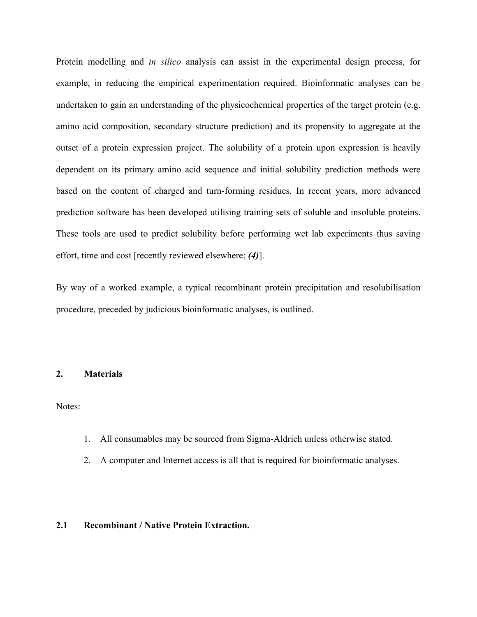Protein modelling and *in silico* analysis can assist in the experimental design process, for example, in reducing the empirical experimentation required. Bioinformatic analyses can be undertaken to gain an understanding of the physicochemical properties of the target protein (e.g. amino acid composition, secondary structure prediction) and its propensity to aggregate at the outset of a protein expression project. The solubility of a protein upon expression is heavily dependent on its primary amino acid sequence and initial solubility prediction methods were based on the content of charged and turn-forming residues. In recent years, more advanced prediction software has been developed utilising training sets of soluble and insoluble proteins. These tools are used to predict solubility before performing wet lab experiments thus saving effort, time and cost [recently reviewed elsewhere; *(4)*].

By way of a worked example, a typical recombinant protein precipitation and resolubilisation procedure, preceded by judicious bioinformatic analyses, is outlined.

#### **2. Materials**

Notes:

- 1. All consumables may be sourced from Sigma-Aldrich unless otherwise stated.
- 2. A computer and Internet access is all that is required for bioinformatic analyses.

#### **2.1 Recombinant / Native Protein Extraction.**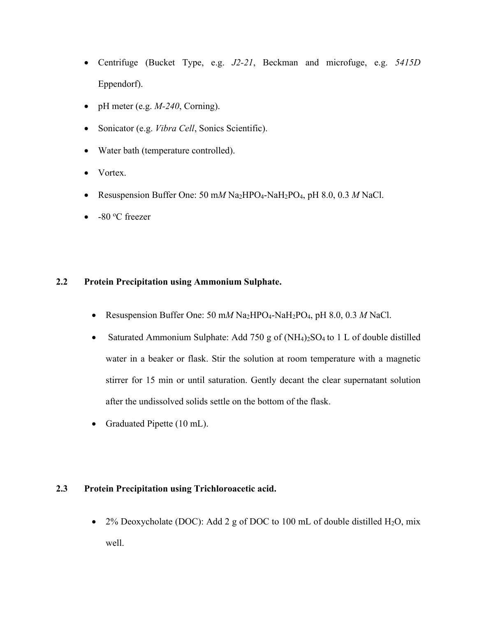- Centrifuge (Bucket Type, e.g. *J2-21*, Beckman and microfuge, e.g. *5415D* Eppendorf).
- pH meter (e.g. *M-240*, Corning).
- Sonicator (e.g. *Vibra Cell*, Sonics Scientific).
- Water bath (temperature controlled).
- Vortex.
- Resuspension Buffer One: 50 m*M* Na2HPO4-NaH2PO4, pH 8.0, 0.3 *M* NaCl.
- $\bullet$  -80 °C freezer

## **2.2 Protein Precipitation using Ammonium Sulphate.**

- Resuspension Buffer One: 50 m*M* Na2HPO4-NaH2PO4, pH 8.0, 0.3 *M* NaCl.
- Saturated Ammonium Sulphate: Add 750 g of  $(NH_4)_2SO_4$  to 1 L of double distilled water in a beaker or flask. Stir the solution at room temperature with a magnetic stirrer for 15 min or until saturation. Gently decant the clear supernatant solution after the undissolved solids settle on the bottom of the flask.
- Graduated Pipette (10 mL).

## **2.3 Protein Precipitation using Trichloroacetic acid.**

• 2% Deoxycholate (DOC): Add 2 g of DOC to 100 mL of double distilled H<sub>2</sub>O, mix well.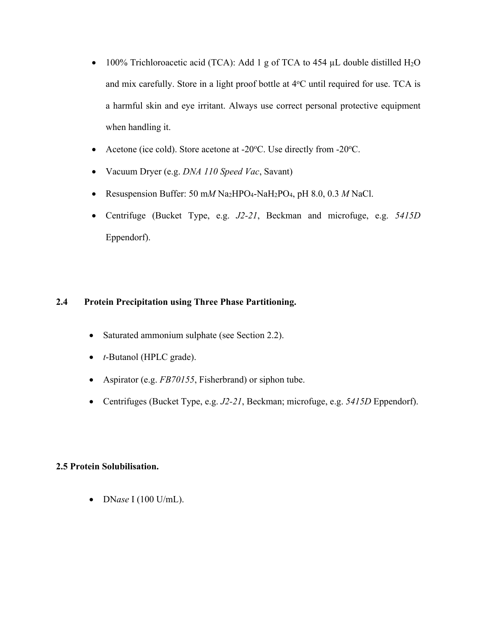- 100% Trichloroacetic acid (TCA): Add 1 g of TCA to 454  $\mu$ L double distilled H<sub>2</sub>O and mix carefully. Store in a light proof bottle at  $4^{\circ}$ C until required for use. TCA is a harmful skin and eye irritant. Always use correct personal protective equipment when handling it.
- Acetone (ice cold). Store acetone at -20°C. Use directly from -20°C.
- Vacuum Dryer (e.g. *DNA 110 Speed Vac*, Savant)
- Resuspension Buffer: 50 m*M* Na2HPO4-NaH2PO4, pH 8.0, 0.3 *M* NaCl.
- Centrifuge (Bucket Type, e.g. *J2-21*, Beckman and microfuge, e.g. *5415D* Eppendorf).

## **2.4 Protein Precipitation using Three Phase Partitioning.**

- Saturated ammonium sulphate (see Section 2.2).
- *t*-Butanol (HPLC grade).
- Aspirator (e.g. *FB70155*, Fisherbrand) or siphon tube.
- Centrifuges (Bucket Type, e.g. *J2-21*, Beckman; microfuge, e.g. *5415D* Eppendorf).

## **2.5 Protein Solubilisation.**

• DN*ase* I (100 U/mL).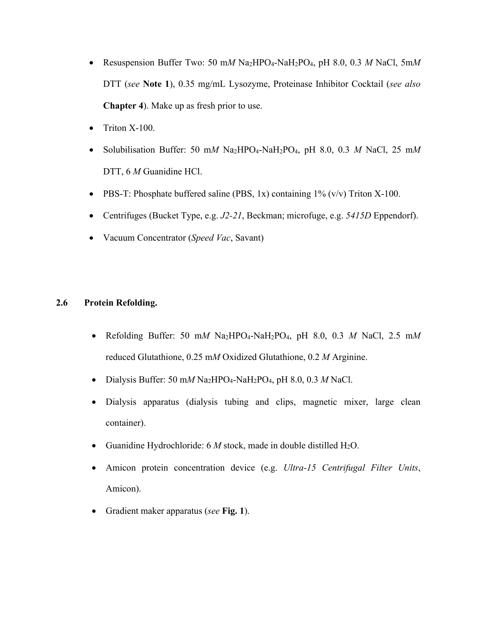- Resuspension Buffer Two: 50 m*M* Na2HPO4-NaH2PO4, pH 8.0, 0.3 *M* NaCl, 5m*M* DTT (*see* **Note 1**), 0.35 mg/mL Lysozyme, Proteinase Inhibitor Cocktail (*see also* **Chapter 4**). Make up as fresh prior to use.
- Triton X-100.
- Solubilisation Buffer: 50 m*M* Na2HPO4-NaH2PO4, pH 8.0, 0.3 *M* NaCl, 25 m*M* DTT, 6 *M* Guanidine HCl.
- PBS-T: Phosphate buffered saline (PBS, 1x) containing  $1\%$  (v/v) Triton X-100.
- Centrifuges (Bucket Type, e.g. *J2-21*, Beckman; microfuge, e.g. *5415D* Eppendorf).
- Vacuum Concentrator (*Speed Vac*, Savant)

## **2.6 Protein Refolding.**

- Refolding Buffer: 50 m*M* Na2HPO4-NaH2PO4, pH 8.0, 0.3 *M* NaCl, 2.5 m*M* reduced Glutathione, 0.25 m*M* Oxidized Glutathione, 0.2 *M* Arginine.
- Dialysis Buffer: 50 m*M* Na2HPO4-NaH2PO4, pH 8.0, 0.3 *M* NaCl.
- Dialysis apparatus (dialysis tubing and clips, magnetic mixer, large clean container).
- Guanidine Hydrochloride:  $6 M$  stock, made in double distilled H<sub>2</sub>O.
- Amicon protein concentration device (e.g. *Ultra-15 Centrifugal Filter Units*, Amicon).
- Gradient maker apparatus (*see* **Fig. 1**).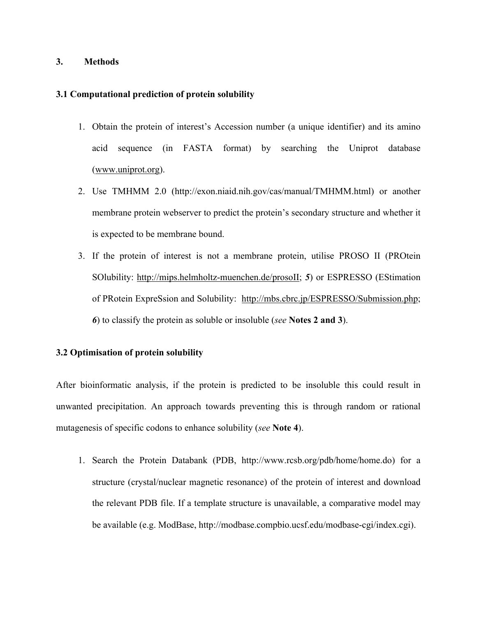#### **3. Methods**

#### **3.1 Computational prediction of protein solubility**

- 1. Obtain the protein of interest's Accession number (a unique identifier) and its amino acid sequence (in FASTA format) by searching the Uniprot database (www.uniprot.org).
- 2. Use TMHMM 2.0 (http://exon.niaid.nih.gov/cas/manual/TMHMM.html) or another membrane protein webserver to predict the protein's secondary structure and whether it is expected to be membrane bound.
- 3. If the protein of interest is not a membrane protein, utilise PROSO II (PROtein SOlubility: http://mips.helmholtz-muenchen.de/prosoII; *5*) or ESPRESSO (EStimation of PRotein ExpreSsion and Solubility: http://mbs.cbrc.jp/ESPRESSO/Submission.php; *6*) to classify the protein as soluble or insoluble (*see* **Notes 2 and 3**).

### **3.2 Optimisation of protein solubility**

After bioinformatic analysis, if the protein is predicted to be insoluble this could result in unwanted precipitation. An approach towards preventing this is through random or rational mutagenesis of specific codons to enhance solubility (*see* **Note 4**).

1. Search the Protein Databank (PDB, http://www.rcsb.org/pdb/home/home.do) for a structure (crystal/nuclear magnetic resonance) of the protein of interest and download the relevant PDB file. If a template structure is unavailable, a comparative model may be available (e.g. ModBase, http://modbase.compbio.ucsf.edu/modbase-cgi/index.cgi).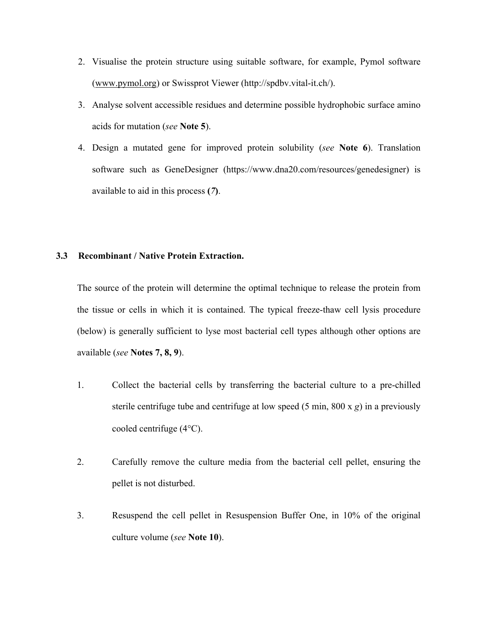- 2. Visualise the protein structure using suitable software, for example, Pymol software (www.pymol.org) or Swissprot Viewer (http://spdbv.vital-it.ch/).
- 3. Analyse solvent accessible residues and determine possible hydrophobic surface amino acids for mutation (*see* **Note 5**).
- 4. Design a mutated gene for improved protein solubility (*see* **Note 6**). Translation software such as GeneDesigner (https://www.dna20.com/resources/genedesigner) is available to aid in this process **(***7***)**.

#### **3.3 Recombinant / Native Protein Extraction.**

The source of the protein will determine the optimal technique to release the protein from the tissue or cells in which it is contained. The typical freeze-thaw cell lysis procedure (below) is generally sufficient to lyse most bacterial cell types although other options are available (*see* **Notes 7, 8, 9**).

- 1. Collect the bacterial cells by transferring the bacterial culture to a pre-chilled sterile centrifuge tube and centrifuge at low speed (5 min, 800 x *g*) in a previously cooled centrifuge (4°C).
- 2. Carefully remove the culture media from the bacterial cell pellet, ensuring the pellet is not disturbed.
- 3. Resuspend the cell pellet in Resuspension Buffer One, in 10% of the original culture volume (*see* **Note 10**).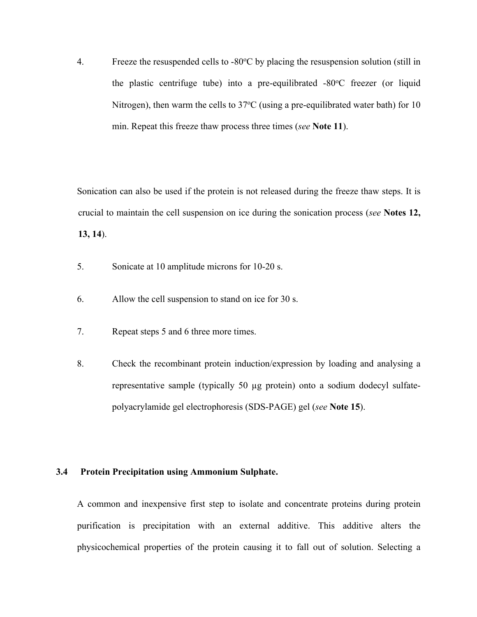4. Freeze the resuspended cells to  $-80^{\circ}$ C by placing the resuspension solution (still in the plastic centrifuge tube) into a pre-equilibrated -80°C freezer (or liquid Nitrogen), then warm the cells to  $37^{\circ}$ C (using a pre-equilibrated water bath) for 10 min. Repeat this freeze thaw process three times (*see* **Note 11**).

Sonication can also be used if the protein is not released during the freeze thaw steps. It is crucial to maintain the cell suspension on ice during the sonication process (*see* **Notes 12, 13, 14**).

- 5. Sonicate at 10 amplitude microns for 10-20 s.
- 6. Allow the cell suspension to stand on ice for 30 s.
- 7. Repeat steps 5 and 6 three more times.
- 8. Check the recombinant protein induction/expression by loading and analysing a representative sample (typically 50 µg protein) onto a sodium dodecyl sulfatepolyacrylamide gel electrophoresis (SDS-PAGE) gel (*see* **Note 15**).

#### **3.4 Protein Precipitation using Ammonium Sulphate.**

A common and inexpensive first step to isolate and concentrate proteins during protein purification is precipitation with an external additive. This additive alters the physicochemical properties of the protein causing it to fall out of solution. Selecting a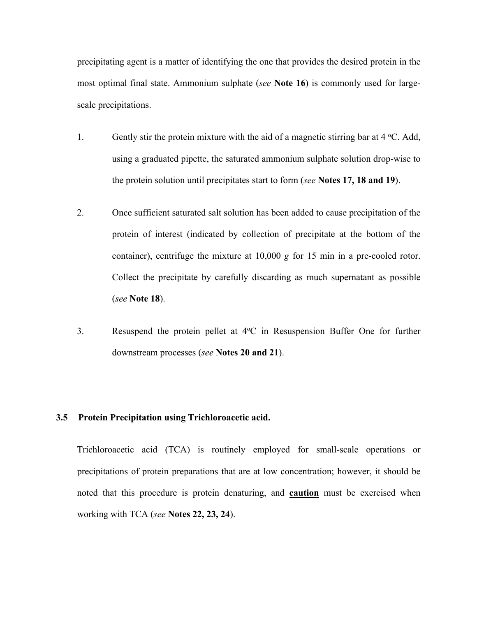precipitating agent is a matter of identifying the one that provides the desired protein in the most optimal final state. Ammonium sulphate (*see* **Note 16**) is commonly used for largescale precipitations.

- 1. Gently stir the protein mixture with the aid of a magnetic stirring bar at 4 °C. Add, using a graduated pipette, the saturated ammonium sulphate solution drop-wise to the protein solution until precipitates start to form (*see* **Notes 17, 18 and 19**).
- 2. Once sufficient saturated salt solution has been added to cause precipitation of the protein of interest (indicated by collection of precipitate at the bottom of the container), centrifuge the mixture at 10,000 *g* for 15 min in a pre-cooled rotor. Collect the precipitate by carefully discarding as much supernatant as possible (*see* **Note 18**).
- 3. Resuspend the protein pellet at 4°C in Resuspension Buffer One for further downstream processes (*see* **Notes 20 and 21**).

#### **3.5 Protein Precipitation using Trichloroacetic acid.**

Trichloroacetic acid (TCA) is routinely employed for small-scale operations or precipitations of protein preparations that are at low concentration; however, it should be noted that this procedure is protein denaturing, and **caution** must be exercised when working with TCA (*see* **Notes 22, 23, 24**).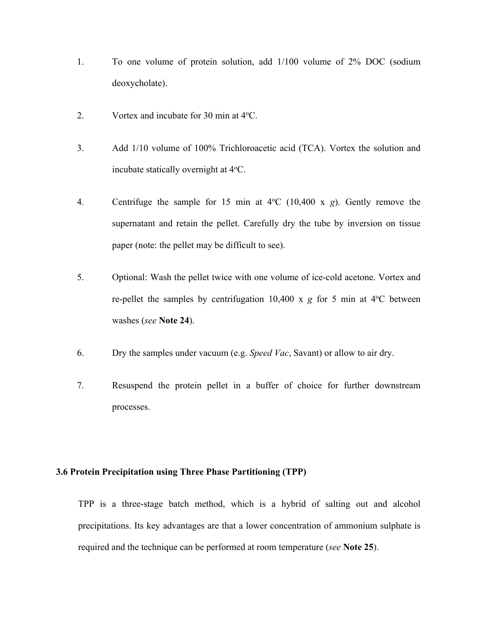- 1. To one volume of protein solution, add 1/100 volume of 2% DOC (sodium deoxycholate).
- 2. Vortex and incubate for 30 min at 4 °C.
- 3. Add 1/10 volume of 100% Trichloroacetic acid (TCA). Vortex the solution and incubate statically overnight at 4°C.
- 4. Centrifuge the sample for 15 min at  $4^{\circ}$ C (10,400 x *g*). Gently remove the supernatant and retain the pellet. Carefully dry the tube by inversion on tissue paper (note: the pellet may be difficult to see).
- 5. Optional: Wash the pellet twice with one volume of ice-cold acetone. Vortex and re-pellet the samples by centrifugation  $10,400 \times g$  for 5 min at  $4^{\circ}$ C between washes (*see* **Note 24**).
- 6. Dry the samples under vacuum (e.g. *Speed Vac*, Savant) or allow to air dry.
- 7. Resuspend the protein pellet in a buffer of choice for further downstream processes.

## **3.6 Protein Precipitation using Three Phase Partitioning (TPP)**

TPP is a three-stage batch method, which is a hybrid of salting out and alcohol precipitations. Its key advantages are that a lower concentration of ammonium sulphate is required and the technique can be performed at room temperature (*see* **Note 25**).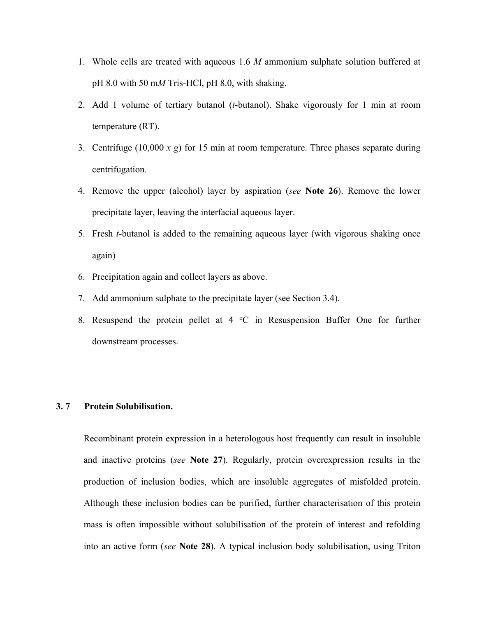- 1. Whole cells are treated with aqueous 1.6 *M* ammonium sulphate solution buffered at pH 8.0 with 50 m*M* Tris-HCl, pH 8.0, with shaking.
- 2. Add 1 volume of tertiary butanol (*t*-butanol). Shake vigorously for 1 min at room temperature (RT).
- 3. Centrifuge (10,000 *x g*) for 15 min at room temperature. Three phases separate during centrifugation.
- 4. Remove the upper (alcohol) layer by aspiration (*see* **Note 26**). Remove the lower precipitate layer, leaving the interfacial aqueous layer.
- 5. Fresh *t*-butanol is added to the remaining aqueous layer (with vigorous shaking once again)
- 6. Precipitation again and collect layers as above.
- 7. Add ammonium sulphate to the precipitate layer (see Section 3.4).
- 8. Resuspend the protein pellet at  $4 \text{ }^{\circ}\text{C}$  in Resuspension Buffer One for further downstream processes.

#### **3. 7 Protein Solubilisation.**

Recombinant protein expression in a heterologous host frequently can result in insoluble and inactive proteins (*see* **Note 27**). Regularly, protein overexpression results in the production of inclusion bodies, which are insoluble aggregates of misfolded protein. Although these inclusion bodies can be purified, further characterisation of this protein mass is often impossible without solubilisation of the protein of interest and refolding into an active form (*see* **Note 28**). A typical inclusion body solubilisation, using Triton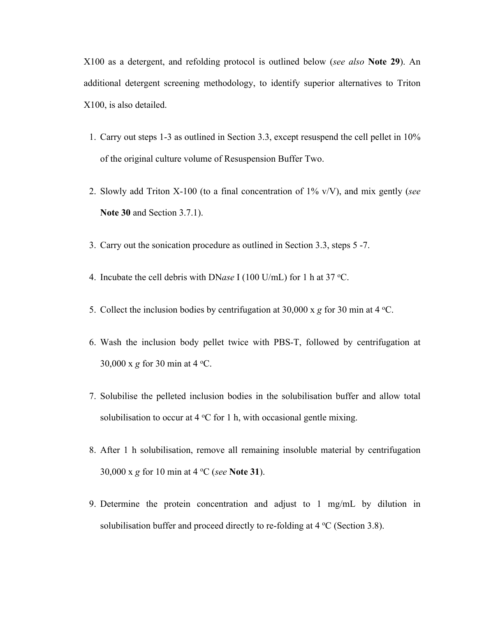X100 as a detergent, and refolding protocol is outlined below (*see also* **Note 29**). An additional detergent screening methodology, to identify superior alternatives to Triton X100, is also detailed.

- 1. Carry out steps 1-3 as outlined in Section 3.3, except resuspend the cell pellet in 10% of the original culture volume of Resuspension Buffer Two.
- 2. Slowly add Triton X-100 (to a final concentration of 1% v/V), and mix gently (*see* **Note 30** and Section 3.7.1).
- 3. Carry out the sonication procedure as outlined in Section 3.3, steps 5 -7.
- 4. Incubate the cell debris with DNase I (100 U/mL) for 1 h at 37 °C.
- 5. Collect the inclusion bodies by centrifugation at  $30,000 \times g$  for  $30 \text{ min}$  at  $4 \text{ }^{\circ}\text{C}$ .
- 6. Wash the inclusion body pellet twice with PBS-T, followed by centrifugation at 30,000 x g for 30 min at  $4^{\circ}$ C.
- 7. Solubilise the pelleted inclusion bodies in the solubilisation buffer and allow total solubilisation to occur at  $4^{\circ}$ C for 1 h, with occasional gentle mixing.
- 8. After 1 h solubilisation, remove all remaining insoluble material by centrifugation 30,000 x *g* for 10 min at 4 <sup>o</sup> C (*see* **Note 31**).
- 9. Determine the protein concentration and adjust to 1 mg/mL by dilution in solubilisation buffer and proceed directly to re-folding at  $4 °C$  (Section 3.8).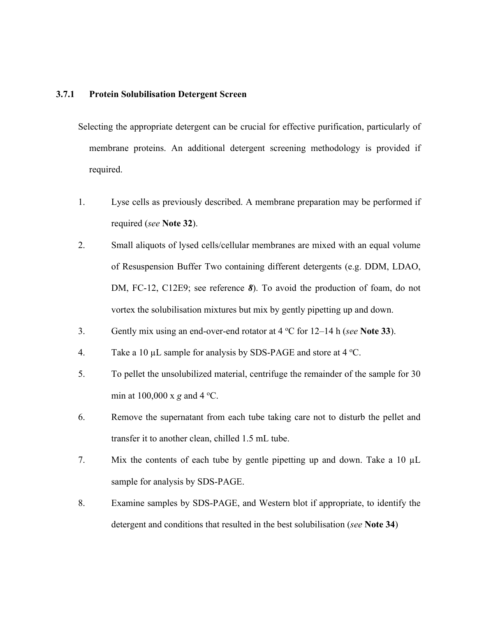#### **3.7.1 Protein Solubilisation Detergent Screen**

Selecting the appropriate detergent can be crucial for effective purification, particularly of membrane proteins. An additional detergent screening methodology is provided if required.

- 1. Lyse cells as previously described. A membrane preparation may be performed if required (*see* **Note 32**).
- 2. Small aliquots of lysed cells/cellular membranes are mixed with an equal volume of Resuspension Buffer Two containing different detergents (e.g. DDM, LDAO, DM, FC-12, C12E9; see reference *8*). To avoid the production of foam, do not vortex the solubilisation mixtures but mix by gently pipetting up and down.
- 3. Gently mix using an end-over-end rotator at 4 °C for 12–14 h (*see* Note 33).
- 4. Take a 10  $\mu$ L sample for analysis by SDS-PAGE and store at 4 °C.
- 5. To pellet the unsolubilized material, centrifuge the remainder of the sample for 30 min at  $100,000 \times g$  and  $4 \degree$ C.
- 6. Remove the supernatant from each tube taking care not to disturb the pellet and transfer it to another clean, chilled 1.5 mL tube.
- 7. Mix the contents of each tube by gentle pipetting up and down. Take a 10 µL sample for analysis by SDS-PAGE.
- 8. Examine samples by SDS-PAGE, and Western blot if appropriate, to identify the detergent and conditions that resulted in the best solubilisation (*see* **Note 34**)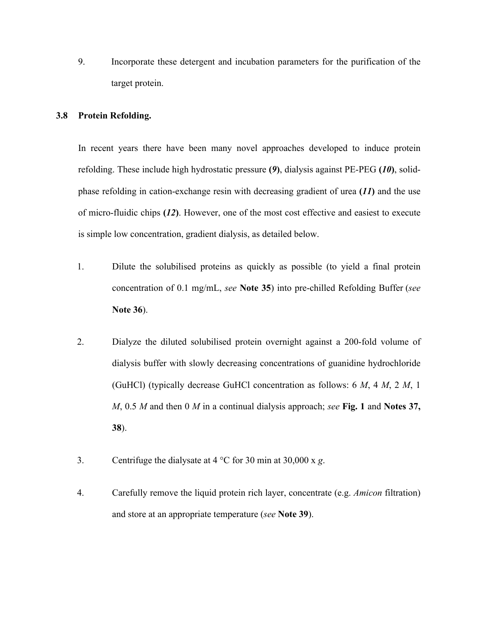9. Incorporate these detergent and incubation parameters for the purification of the target protein.

#### **3.8 Protein Refolding.**

In recent years there have been many novel approaches developed to induce protein refolding. These include high hydrostatic pressure **(***9***)**, dialysis against PE-PEG **(***10***)**, solidphase refolding in cation-exchange resin with decreasing gradient of urea **(***11***)** and the use of micro-fluidic chips **(***12***)**. However, one of the most cost effective and easiest to execute is simple low concentration, gradient dialysis, as detailed below.

- 1. Dilute the solubilised proteins as quickly as possible (to yield a final protein concentration of 0.1 mg/mL, *see* **Note 35**) into pre-chilled Refolding Buffer (*see* **Note 36**).
- 2. Dialyze the diluted solubilised protein overnight against a 200-fold volume of dialysis buffer with slowly decreasing concentrations of guanidine hydrochloride (GuHCl) (typically decrease GuHCl concentration as follows: 6 *M*, 4 *M*, 2 *M*, 1 *M*, 0.5 *M* and then 0 *M* in a continual dialysis approach; *see* **Fig. 1** and **Notes 37, 38**).
- 3. Centrifuge the dialysate at 4 °C for 30 min at 30,000 x *g*.
- 4. Carefully remove the liquid protein rich layer, concentrate (e.g. *Amicon* filtration) and store at an appropriate temperature (*see* **Note 39**).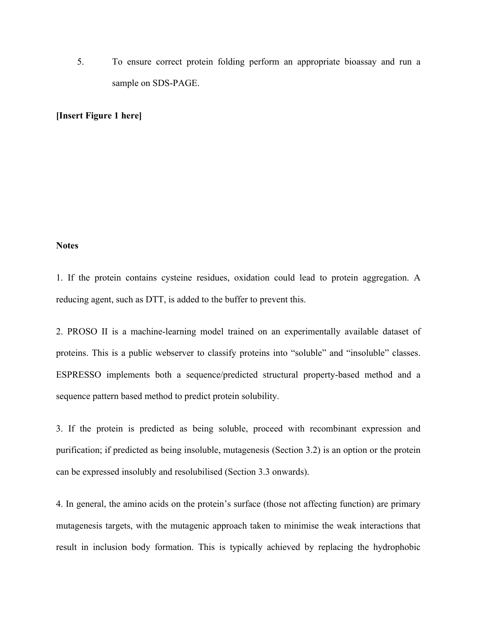5. To ensure correct protein folding perform an appropriate bioassay and run a sample on SDS-PAGE.

### **[Insert Figure 1 here]**

#### **Notes**

1. If the protein contains cysteine residues, oxidation could lead to protein aggregation. A reducing agent, such as DTT, is added to the buffer to prevent this.

2. PROSO II is a machine-learning model trained on an experimentally available dataset of proteins. This is a public webserver to classify proteins into "soluble" and "insoluble" classes. ESPRESSO implements both a sequence/predicted structural property-based method and a sequence pattern based method to predict protein solubility.

3. If the protein is predicted as being soluble, proceed with recombinant expression and purification; if predicted as being insoluble, mutagenesis (Section 3.2) is an option or the protein can be expressed insolubly and resolubilised (Section 3.3 onwards).

4. In general, the amino acids on the protein's surface (those not affecting function) are primary mutagenesis targets, with the mutagenic approach taken to minimise the weak interactions that result in inclusion body formation. This is typically achieved by replacing the hydrophobic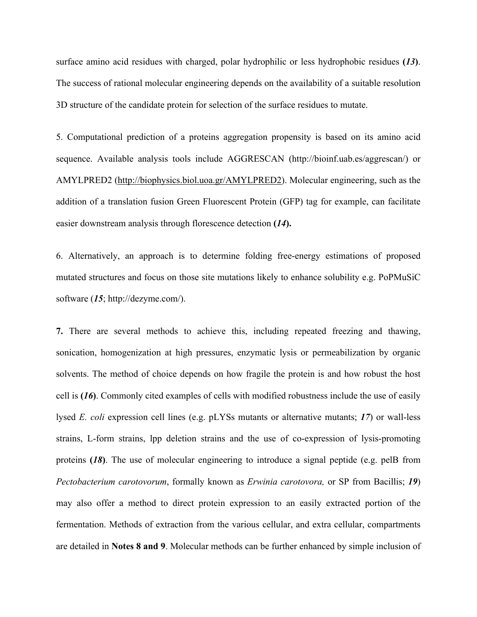surface amino acid residues with charged, polar hydrophilic or less hydrophobic residues **(***13***)**. The success of rational molecular engineering depends on the availability of a suitable resolution 3D structure of the candidate protein for selection of the surface residues to mutate.

5. Computational prediction of a proteins aggregation propensity is based on its amino acid sequence. Available analysis tools include AGGRESCAN (http://bioinf.uab.es/aggrescan/) or AMYLPRED2 (http://biophysics.biol.uoa.gr/AMYLPRED2). Molecular engineering, such as the addition of a translation fusion Green Fluorescent Protein (GFP) tag for example, can facilitate easier downstream analysis through florescence detection **(***14***).**

6. Alternatively, an approach is to determine folding free-energy estimations of proposed mutated structures and focus on those site mutations likely to enhance solubility e.g. PoPMuSiC software (*15*; http://dezyme.com/).

**7.** There are several methods to achieve this, including repeated freezing and thawing, sonication, homogenization at high pressures, enzymatic lysis or permeabilization by organic solvents. The method of choice depends on how fragile the protein is and how robust the host cell is **(***16***)**. Commonly cited examples of cells with modified robustness include the use of easily lysed *E. coli* expression cell lines (e.g. pLYSs mutants or alternative mutants; *17*) or wall-less strains, L-form strains, lpp deletion strains and the use of co-expression of lysis-promoting proteins **(***18***)**. The use of molecular engineering to introduce a signal peptide (e.g. pelB from *Pectobacterium carotovorum*, formally known as *Erwinia carotovora,* or SP from Bacillis; *19*) may also offer a method to direct protein expression to an easily extracted portion of the fermentation. Methods of extraction from the various cellular, and extra cellular, compartments are detailed in **Notes 8 and 9**. Molecular methods can be further enhanced by simple inclusion of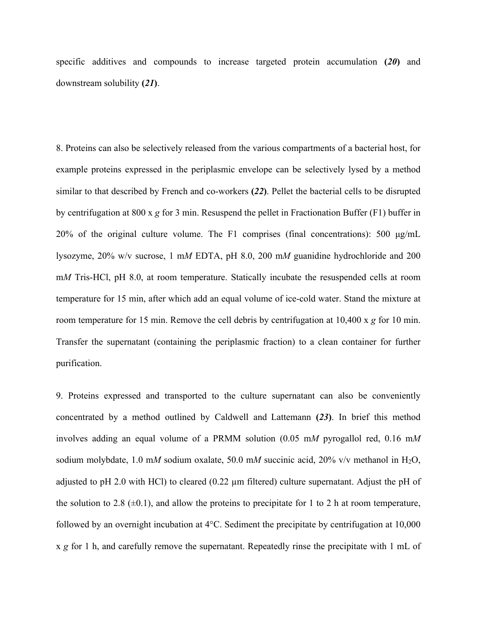specific additives and compounds to increase targeted protein accumulation **(***20***)** and downstream solubility **(***21***)**.

8. Proteins can also be selectively released from the various compartments of a bacterial host, for example proteins expressed in the periplasmic envelope can be selectively lysed by a method similar to that described by French and co-workers **(***22***)**. Pellet the bacterial cells to be disrupted by centrifugation at 800 x *g* for 3 min. Resuspend the pellet in Fractionation Buffer (F1) buffer in 20% of the original culture volume. The F1 comprises (final concentrations): 500 μg/mL lysozyme, 20% w/v sucrose, 1 m*M* EDTA, pH 8.0, 200 m*M* guanidine hydrochloride and 200 m*M* Tris-HCl, pH 8.0, at room temperature. Statically incubate the resuspended cells at room temperature for 15 min, after which add an equal volume of ice-cold water. Stand the mixture at room temperature for 15 min. Remove the cell debris by centrifugation at 10,400 x *g* for 10 min. Transfer the supernatant (containing the periplasmic fraction) to a clean container for further purification.

9. Proteins expressed and transported to the culture supernatant can also be conveniently concentrated by a method outlined by Caldwell and Lattemann **(***23***)**. In brief this method involves adding an equal volume of a PRMM solution (0.05 m*M* pyrogallol red, 0.16 m*M* sodium molybdate, 1.0 mM sodium oxalate, 50.0 mM succinic acid, 20% v/v methanol in H<sub>2</sub>O, adjusted to pH 2.0 with HCl) to cleared (0.22  $\mu$ m filtered) culture supernatant. Adjust the pH of the solution to 2.8  $(\pm 0.1)$ , and allow the proteins to precipitate for 1 to 2 h at room temperature, followed by an overnight incubation at 4°C. Sediment the precipitate by centrifugation at 10,000 x *g* for 1 h, and carefully remove the supernatant. Repeatedly rinse the precipitate with 1 mL of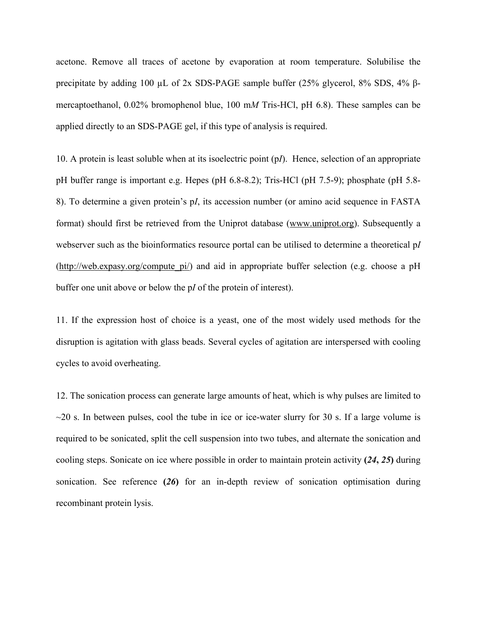acetone. Remove all traces of acetone by evaporation at room temperature. Solubilise the precipitate by adding 100  $\mu$ L of 2x SDS-PAGE sample buffer (25% glycerol, 8% SDS, 4% βmercaptoethanol, 0.02% bromophenol blue, 100 m*M* Tris-HCl, pH 6.8). These samples can be applied directly to an SDS-PAGE gel, if this type of analysis is required.

10. A protein is least soluble when at its isoelectric point (p*I*). Hence, selection of an appropriate pH buffer range is important e.g. Hepes (pH 6.8-8.2); Tris-HCl (pH 7.5-9); phosphate (pH 5.8- 8). To determine a given protein's p*I*, its accession number (or amino acid sequence in FASTA format) should first be retrieved from the Uniprot database (www.uniprot.org). Subsequently a webserver such as the bioinformatics resource portal can be utilised to determine a theoretical p*I* (http://web.expasy.org/compute  $pi$ ) and aid in appropriate buffer selection (e.g. choose a pH buffer one unit above or below the p*I* of the protein of interest).

11. If the expression host of choice is a yeast, one of the most widely used methods for the disruption is agitation with glass beads. Several cycles of agitation are interspersed with cooling cycles to avoid overheating.

12. The sonication process can generate large amounts of heat, which is why pulses are limited to  $\sim$ 20 s. In between pulses, cool the tube in ice or ice-water slurry for 30 s. If a large volume is required to be sonicated, split the cell suspension into two tubes, and alternate the sonication and cooling steps. Sonicate on ice where possible in order to maintain protein activity **(***24***,** *25***)** during sonication. See reference **(***26***)** for an in-depth review of sonication optimisation during recombinant protein lysis.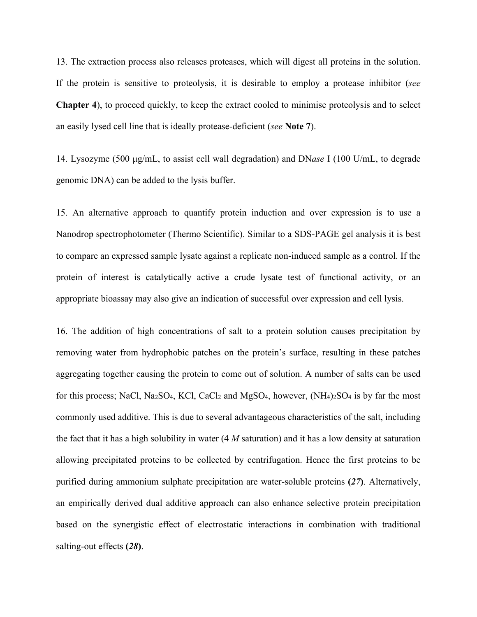13. The extraction process also releases proteases, which will digest all proteins in the solution. If the protein is sensitive to proteolysis, it is desirable to employ a protease inhibitor (*see* **Chapter 4**), to proceed quickly, to keep the extract cooled to minimise proteolysis and to select an easily lysed cell line that is ideally protease-deficient (*see* **Note 7**).

14. Lysozyme (500 μg/mL, to assist cell wall degradation) and DN*ase* I (100 U/mL, to degrade genomic DNA) can be added to the lysis buffer.

15. An alternative approach to quantify protein induction and over expression is to use a Nanodrop spectrophotometer (Thermo Scientific). Similar to a SDS-PAGE gel analysis it is best to compare an expressed sample lysate against a replicate non-induced sample as a control. If the protein of interest is catalytically active a crude lysate test of functional activity, or an appropriate bioassay may also give an indication of successful over expression and cell lysis.

16. The addition of high concentrations of salt to a protein solution causes precipitation by removing water from hydrophobic patches on the protein's surface, resulting in these patches aggregating together causing the protein to come out of solution. A number of salts can be used for this process; NaCl, Na<sub>2</sub>SO<sub>4</sub>, KCl, CaCl<sub>2</sub> and MgSO<sub>4</sub>, however,  $(NH<sub>4</sub>)<sub>2</sub>SO<sub>4</sub>$  is by far the most commonly used additive. This is due to several advantageous characteristics of the salt, including the fact that it has a high solubility in water (4 *M* saturation) and it has a low density at saturation allowing precipitated proteins to be collected by centrifugation. Hence the first proteins to be purified during ammonium sulphate precipitation are water-soluble proteins **(***27***)**. Alternatively, an empirically derived dual additive approach can also enhance selective protein precipitation based on the synergistic effect of electrostatic interactions in combination with traditional salting-out effects **(***28***)**.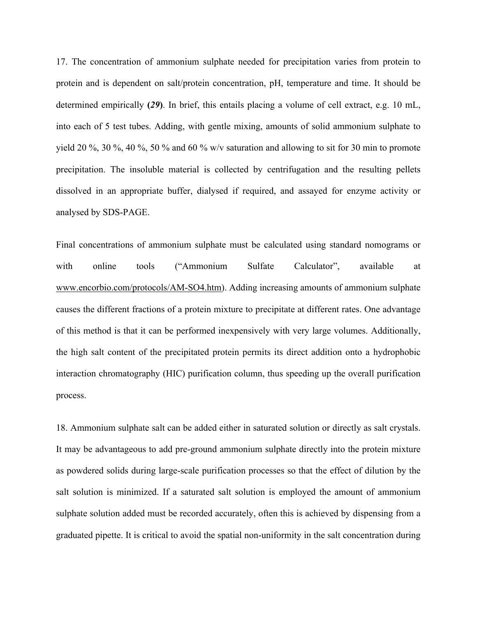17. The concentration of ammonium sulphate needed for precipitation varies from protein to protein and is dependent on salt/protein concentration, pH, temperature and time. It should be determined empirically **(***29***)**. In brief, this entails placing a volume of cell extract, e.g. 10 mL, into each of 5 test tubes. Adding, with gentle mixing, amounts of solid ammonium sulphate to yield 20 %, 30 %, 40 %, 50 % and 60 % w/v saturation and allowing to sit for 30 min to promote precipitation. The insoluble material is collected by centrifugation and the resulting pellets dissolved in an appropriate buffer, dialysed if required, and assayed for enzyme activity or analysed by SDS-PAGE.

Final concentrations of ammonium sulphate must be calculated using standard nomograms or with online tools ("Ammonium Sulfate Calculator", available at www.encorbio.com/protocols/AM-SO4.htm). Adding increasing amounts of ammonium sulphate causes the different fractions of a protein mixture to precipitate at different rates. One advantage of this method is that it can be performed inexpensively with very large volumes. Additionally, the high salt content of the precipitated protein permits its direct addition onto a hydrophobic interaction chromatography (HIC) purification column, thus speeding up the overall purification process.

18. Ammonium sulphate salt can be added either in saturated solution or directly as salt crystals. It may be advantageous to add pre-ground ammonium sulphate directly into the protein mixture as powdered solids during large-scale purification processes so that the effect of dilution by the salt solution is minimized. If a saturated salt solution is employed the amount of ammonium sulphate solution added must be recorded accurately, often this is achieved by dispensing from a graduated pipette. It is critical to avoid the spatial non-uniformity in the salt concentration during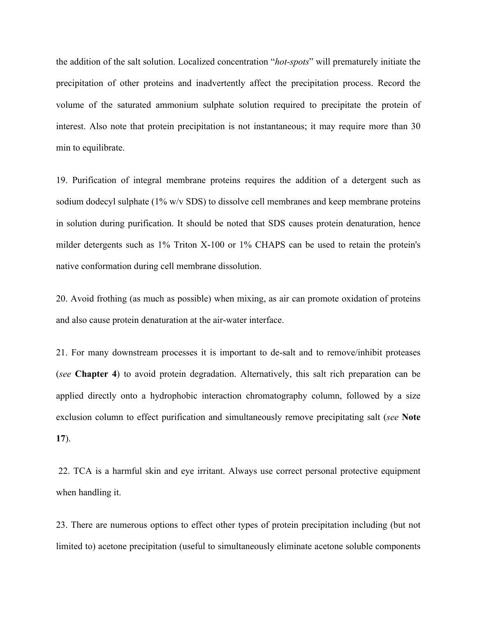the addition of the salt solution. Localized concentration "*hot-spots*" will prematurely initiate the precipitation of other proteins and inadvertently affect the precipitation process. Record the volume of the saturated ammonium sulphate solution required to precipitate the protein of interest. Also note that protein precipitation is not instantaneous; it may require more than 30 min to equilibrate.

19. Purification of integral membrane proteins requires the addition of a detergent such as sodium dodecyl sulphate (1% w/v SDS) to dissolve cell membranes and keep membrane proteins in solution during purification. It should be noted that SDS causes protein denaturation, hence milder detergents such as 1% Triton X-100 or 1% CHAPS can be used to retain the protein's native conformation during cell membrane dissolution.

20. Avoid frothing (as much as possible) when mixing, as air can promote oxidation of proteins and also cause protein denaturation at the air-water interface.

21. For many downstream processes it is important to de-salt and to remove/inhibit proteases (*see* **Chapter 4**) to avoid protein degradation. Alternatively, this salt rich preparation can be applied directly onto a hydrophobic interaction chromatography column, followed by a size exclusion column to effect purification and simultaneously remove precipitating salt (*see* **Note 17**).

22. TCA is a harmful skin and eye irritant. Always use correct personal protective equipment when handling it.

23. There are numerous options to effect other types of protein precipitation including (but not limited to) acetone precipitation (useful to simultaneously eliminate acetone soluble components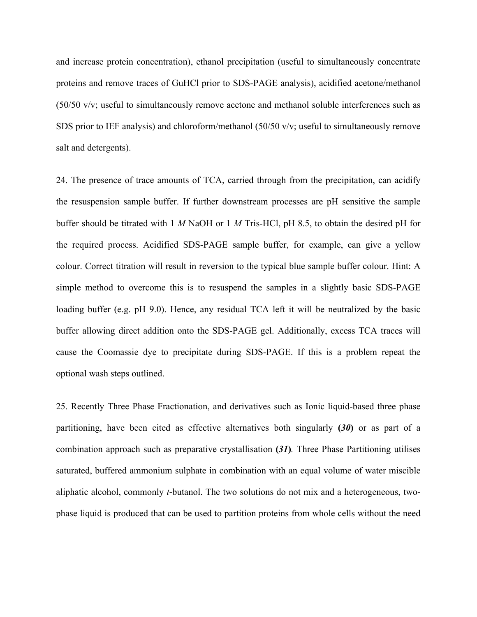and increase protein concentration), ethanol precipitation (useful to simultaneously concentrate proteins and remove traces of GuHCl prior to SDS-PAGE analysis), acidified acetone/methanol (50/50 v/v; useful to simultaneously remove acetone and methanol soluble interferences such as SDS prior to IEF analysis) and chloroform/methanol (50/50 v/v; useful to simultaneously remove salt and detergents).

24. The presence of trace amounts of TCA, carried through from the precipitation, can acidify the resuspension sample buffer. If further downstream processes are pH sensitive the sample buffer should be titrated with 1 *M* NaOH or 1 *M* Tris-HCl, pH 8.5, to obtain the desired pH for the required process. Acidified SDS-PAGE sample buffer, for example, can give a yellow colour. Correct titration will result in reversion to the typical blue sample buffer colour. Hint: A simple method to overcome this is to resuspend the samples in a slightly basic SDS-PAGE loading buffer (e.g. pH 9.0). Hence, any residual TCA left it will be neutralized by the basic buffer allowing direct addition onto the SDS-PAGE gel. Additionally, excess TCA traces will cause the Coomassie dye to precipitate during SDS-PAGE. If this is a problem repeat the optional wash steps outlined.

25. Recently Three Phase Fractionation, and derivatives such as Ionic liquid-based three phase partitioning, have been cited as effective alternatives both singularly **(***30***)** or as part of a combination approach such as preparative crystallisation **(***31***)***.* Three Phase Partitioning utilises saturated, buffered ammonium sulphate in combination with an equal volume of water miscible aliphatic alcohol, commonly *t*-butanol. The two solutions do not mix and a heterogeneous, twophase liquid is produced that can be used to partition proteins from whole cells without the need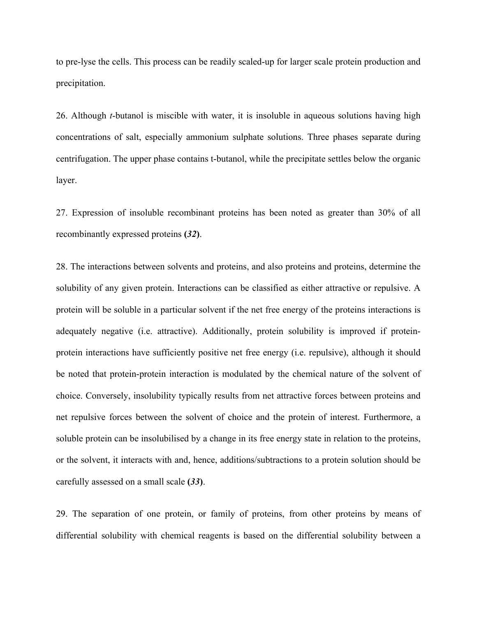to pre-lyse the cells. This process can be readily scaled-up for larger scale protein production and precipitation.

26. Although *t*-butanol is miscible with water, it is insoluble in aqueous solutions having high concentrations of salt, especially ammonium sulphate solutions. Three phases separate during centrifugation. The upper phase contains t-butanol, while the precipitate settles below the organic layer.

27. Expression of insoluble recombinant proteins has been noted as greater than 30% of all recombinantly expressed proteins **(***32***)**.

28. The interactions between solvents and proteins, and also proteins and proteins, determine the solubility of any given protein. Interactions can be classified as either attractive or repulsive. A protein will be soluble in a particular solvent if the net free energy of the proteins interactions is adequately negative (i.e. attractive). Additionally, protein solubility is improved if proteinprotein interactions have sufficiently positive net free energy (i.e. repulsive), although it should be noted that protein-protein interaction is modulated by the chemical nature of the solvent of choice. Conversely, insolubility typically results from net attractive forces between proteins and net repulsive forces between the solvent of choice and the protein of interest. Furthermore, a soluble protein can be insolubilised by a change in its free energy state in relation to the proteins, or the solvent, it interacts with and, hence, additions/subtractions to a protein solution should be carefully assessed on a small scale **(***33***)**.

29. The separation of one protein, or family of proteins, from other proteins by means of differential solubility with chemical reagents is based on the differential solubility between a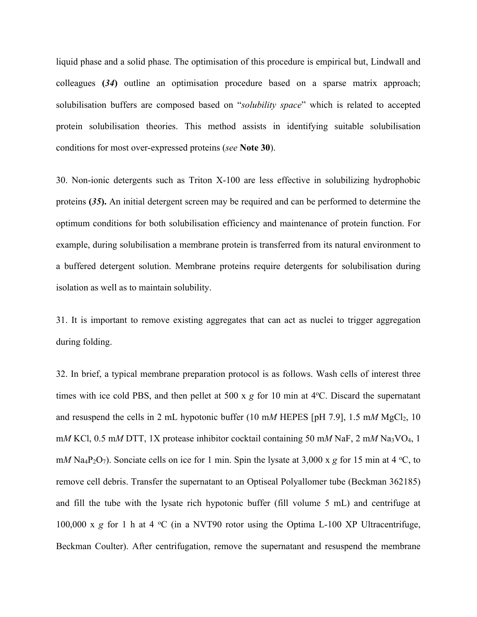liquid phase and a solid phase. The optimisation of this procedure is empirical but, Lindwall and colleagues **(***34***)** outline an optimisation procedure based on a sparse matrix approach; solubilisation buffers are composed based on "*solubility space*" which is related to accepted protein solubilisation theories. This method assists in identifying suitable solubilisation conditions for most over-expressed proteins (*see* **Note 30**).

30. Non-ionic detergents such as Triton X-100 are less effective in solubilizing hydrophobic proteins **(***35***).** An initial detergent screen may be required and can be performed to determine the optimum conditions for both solubilisation efficiency and maintenance of protein function. For example, during solubilisation a membrane protein is transferred from its natural environment to a buffered detergent solution. Membrane proteins require detergents for solubilisation during isolation as well as to maintain solubility.

31. It is important to remove existing aggregates that can act as nuclei to trigger aggregation during folding.

32. In brief, a typical membrane preparation protocol is as follows. Wash cells of interest three times with ice cold PBS, and then pellet at 500 x *g* for 10 min at 4°C. Discard the supernatant and resuspend the cells in 2 mL hypotonic buffer  $(10 \text{ mM HEPES [pH 7.9]}, 1.5 \text{ mM MgCl}_2, 10$ m*M* KCl, 0.5 m*M* DTT, 1X protease inhibitor cocktail containing 50 m*M* NaF, 2 m*M* Na3VO4, 1 m*M* Na<sub>4</sub>P<sub>2</sub>O<sub>7</sub>). Sonciate cells on ice for 1 min. Spin the lysate at 3,000 x *g* for 15 min at 4 °C, to remove cell debris. Transfer the supernatant to an Optiseal Polyallomer tube (Beckman 362185) and fill the tube with the lysate rich hypotonic buffer (fill volume 5 mL) and centrifuge at 100,000 x g for 1 h at 4 °C (in a NVT90 rotor using the Optima L-100 XP Ultracentrifuge, Beckman Coulter). After centrifugation, remove the supernatant and resuspend the membrane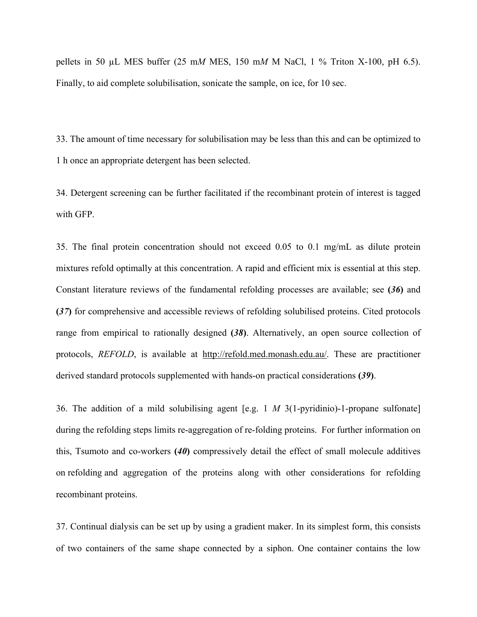pellets in 50 µL MES buffer (25 m*M* MES, 150 m*M* M NaCl, 1 % Triton X-100, pH 6.5). Finally, to aid complete solubilisation, sonicate the sample, on ice, for 10 sec.

33. The amount of time necessary for solubilisation may be less than this and can be optimized to 1 h once an appropriate detergent has been selected.

34. Detergent screening can be further facilitated if the recombinant protein of interest is tagged with GFP.

35. The final protein concentration should not exceed 0.05 to 0.1 mg/mL as dilute protein mixtures refold optimally at this concentration. A rapid and efficient mix is essential at this step. Constant literature reviews of the fundamental refolding processes are available; see **(***36***)** and **(***37***)** for comprehensive and accessible reviews of refolding solubilised proteins. Cited protocols range from empirical to rationally designed **(***38***)**. Alternatively, an open source collection of protocols, *REFOLD*, is available at http://refold.med.monash.edu.au/. These are practitioner derived standard protocols supplemented with hands-on practical considerations **(***39***)**.

36. The addition of a mild solubilising agent [e.g. 1 *M* 3(1-pyridinio)-1-propane sulfonate] during the refolding steps limits re-aggregation of re-folding proteins. For further information on this, Tsumoto and co-workers **(***40***)** compressively detail the effect of small molecule additives on refolding and aggregation of the proteins along with other considerations for refolding recombinant proteins.

37. Continual dialysis can be set up by using a gradient maker. In its simplest form, this consists of two containers of the same shape connected by a siphon. One container contains the low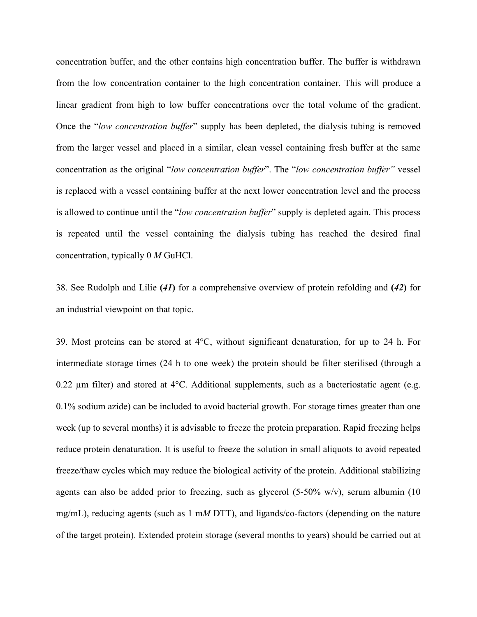concentration buffer, and the other contains high concentration buffer. The buffer is withdrawn from the low concentration container to the high concentration container. This will produce a linear gradient from high to low buffer concentrations over the total volume of the gradient. Once the "*low concentration buffer*" supply has been depleted, the dialysis tubing is removed from the larger vessel and placed in a similar, clean vessel containing fresh buffer at the same concentration as the original "*low concentration buffer*". The "*low concentration buffer"* vessel is replaced with a vessel containing buffer at the next lower concentration level and the process is allowed to continue until the "*low concentration buffer*" supply is depleted again. This process is repeated until the vessel containing the dialysis tubing has reached the desired final concentration, typically 0 *M* GuHCl.

38. See Rudolph and Lilie **(***41***)** for a comprehensive overview of protein refolding and **(***42***)** for an industrial viewpoint on that topic.

39. Most proteins can be stored at 4°C, without significant denaturation, for up to 24 h. For intermediate storage times (24 h to one week) the protein should be filter sterilised (through a 0.22  $\mu$ m filter) and stored at 4 $\rm{°C}$ . Additional supplements, such as a bacteriostatic agent (e.g. 0.1% sodium azide) can be included to avoid bacterial growth. For storage times greater than one week (up to several months) it is advisable to freeze the protein preparation. Rapid freezing helps reduce protein denaturation. It is useful to freeze the solution in small aliquots to avoid repeated freeze/thaw cycles which may reduce the biological activity of the protein. Additional stabilizing agents can also be added prior to freezing, such as glycerol  $(5-50\% \text{ w/v})$ , serum albumin  $(10)$ mg/mL), reducing agents (such as 1 m*M* DTT), and ligands/co-factors (depending on the nature of the target protein). Extended protein storage (several months to years) should be carried out at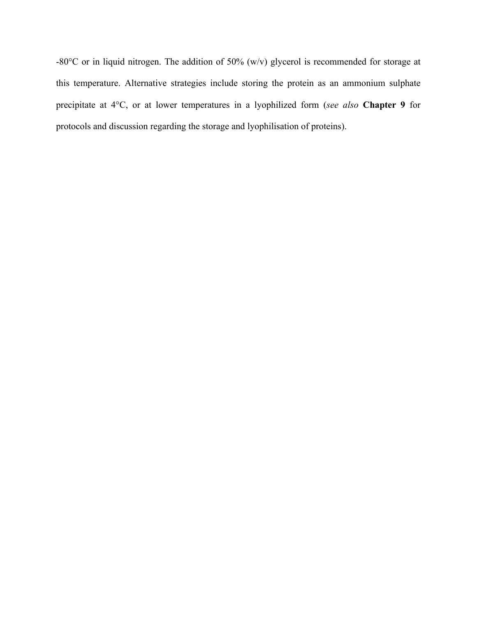-80°C or in liquid nitrogen. The addition of 50% (w/v) glycerol is recommended for storage at this temperature. Alternative strategies include storing the protein as an ammonium sulphate precipitate at 4°C, or at lower temperatures in a lyophilized form (*see also* **Chapter 9** for protocols and discussion regarding the storage and lyophilisation of proteins).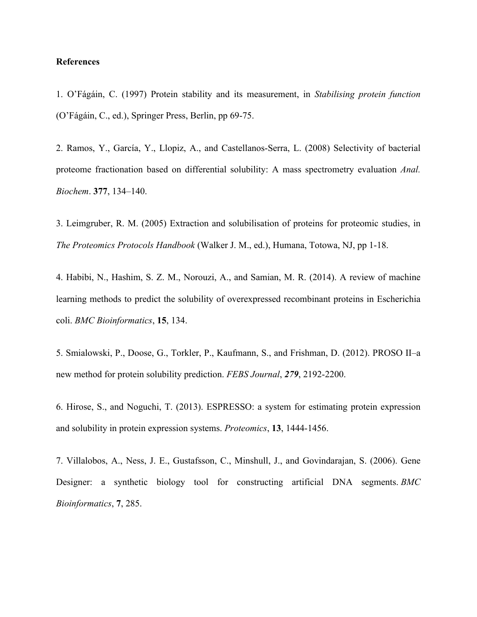#### **References**

1. O'Fágáin, C. (1997) Protein stability and its measurement, in *Stabilising protein function* (O'Fágáin, C., ed.), Springer Press, Berlin, pp 69-75.

2. Ramos, Y., García, Y., Llopiz, A., and Castellanos-Serra, L. (2008) Selectivity of bacterial proteome fractionation based on differential solubility: A mass spectrometry evaluation *Anal. Biochem*. **377**, 134–140.

3. Leimgruber, R. M. (2005) Extraction and solubilisation of proteins for proteomic studies, in *The Proteomics Protocols Handbook* (Walker J. M., ed.), Humana, Totowa, NJ, pp 1-18.

4. Habibi, N., Hashim, S. Z. M., Norouzi, A., and Samian, M. R. (2014). A review of machine learning methods to predict the solubility of overexpressed recombinant proteins in Escherichia coli. *BMC Bioinformatics*, **15**, 134.

5. Smialowski, P., Doose, G., Torkler, P., Kaufmann, S., and Frishman, D. (2012). PROSO II–a new method for protein solubility prediction. *FEBS Journal*, *279*, 2192-2200.

6. Hirose, S., and Noguchi, T. (2013). ESPRESSO: a system for estimating protein expression and solubility in protein expression systems. *Proteomics*, **13**, 1444-1456.

7. Villalobos, A., Ness, J. E., Gustafsson, C., Minshull, J., and Govindarajan, S. (2006). Gene Designer: a synthetic biology tool for constructing artificial DNA segments. *BMC Bioinformatics*, **7**, 285.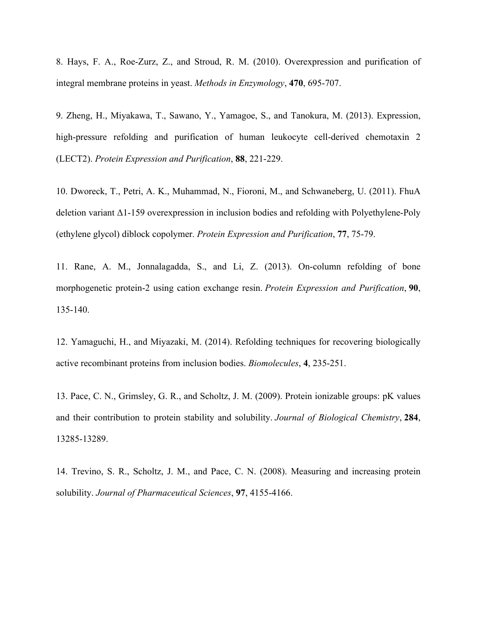8. Hays, F. A., Roe-Zurz, Z., and Stroud, R. M. (2010). Overexpression and purification of integral membrane proteins in yeast. *Methods in Enzymology*, **470**, 695-707.

9. Zheng, H., Miyakawa, T., Sawano, Y., Yamagoe, S., and Tanokura, M. (2013). Expression, high-pressure refolding and purification of human leukocyte cell-derived chemotaxin 2 (LECT2). *Protein Expression and Purification*, **88**, 221-229.

10. Dworeck, T., Petri, A. K., Muhammad, N., Fioroni, M., and Schwaneberg, U. (2011). FhuA deletion variant Δ1-159 overexpression in inclusion bodies and refolding with Polyethylene-Poly (ethylene glycol) diblock copolymer. *Protein Expression and Purification*, **77**, 75-79.

11. Rane, A. M., Jonnalagadda, S., and Li, Z. (2013). On-column refolding of bone morphogenetic protein-2 using cation exchange resin. *Protein Expression and Purification*, **90**, 135-140.

12. Yamaguchi, H., and Miyazaki, M. (2014). Refolding techniques for recovering biologically active recombinant proteins from inclusion bodies. *Biomolecules*, **4**, 235-251.

13. Pace, C. N., Grimsley, G. R., and Scholtz, J. M. (2009). Protein ionizable groups: pK values and their contribution to protein stability and solubility. *Journal of Biological Chemistry*, **284**, 13285-13289.

14. Trevino, S. R., Scholtz, J. M., and Pace, C. N. (2008). Measuring and increasing protein solubility. *Journal of Pharmaceutical Sciences*, **97**, 4155-4166.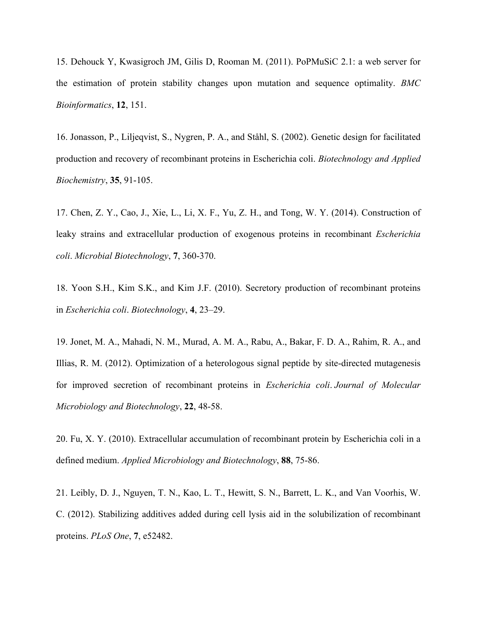15. Dehouck Y, Kwasigroch JM, Gilis D, Rooman M. (2011). PoPMuSiC 2.1: a web server for the estimation of protein stability changes upon mutation and sequence optimality. *BMC Bioinformatics*, **12**, 151.

16. Jonasson, P., Liljeqvist, S., Nygren, P. A., and Ståhl, S. (2002). Genetic design for facilitated production and recovery of recombinant proteins in Escherichia coli. *Biotechnology and Applied Biochemistry*, **35**, 91-105.

17. Chen, Z. Y., Cao, J., Xie, L., Li, X. F., Yu, Z. H., and Tong, W. Y. (2014). Construction of leaky strains and extracellular production of exogenous proteins in recombinant *Escherichia coli*. *Microbial Biotechnology*, **7**, 360-370.

18. Yoon S.H., Kim S.K., and Kim J.F. (2010). Secretory production of recombinant proteins in *Escherichia coli*. *Biotechnology*, **4**, 23–29.

19. Jonet, M. A., Mahadi, N. M., Murad, A. M. A., Rabu, A., Bakar, F. D. A., Rahim, R. A., and Illias, R. M. (2012). Optimization of a heterologous signal peptide by site-directed mutagenesis for improved secretion of recombinant proteins in *Escherichia coli*. *Journal of Molecular Microbiology and Biotechnology*, **22**, 48-58.

20. Fu, X. Y. (2010). Extracellular accumulation of recombinant protein by Escherichia coli in a defined medium. *Applied Microbiology and Biotechnology*, **88**, 75-86.

21. Leibly, D. J., Nguyen, T. N., Kao, L. T., Hewitt, S. N., Barrett, L. K., and Van Voorhis, W. C. (2012). Stabilizing additives added during cell lysis aid in the solubilization of recombinant proteins. *PLoS One*, **7**, e52482.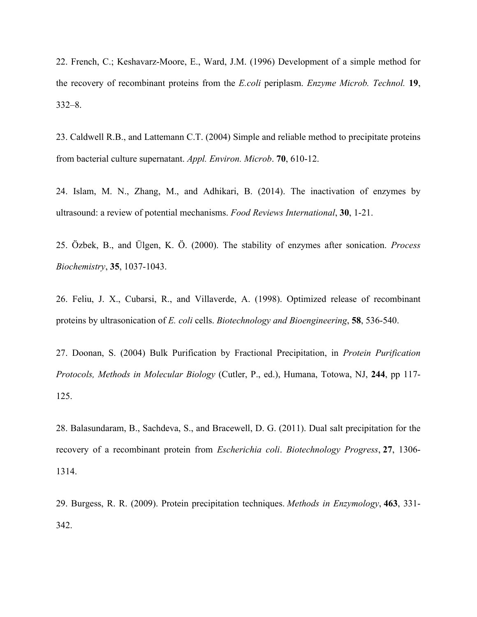22. French, C.; Keshavarz-Moore, E., Ward, J.M. (1996) Development of a simple method for the recovery of recombinant proteins from the *E.coli* periplasm. *Enzyme Microb. Technol.* **19**, 332–8.

23. Caldwell R.B., and Lattemann C.T. (2004) Simple and reliable method to precipitate proteins from bacterial culture supernatant. *Appl. Environ. Microb*. **70**, 610-12.

24. Islam, M. N., Zhang, M., and Adhikari, B. (2014). The inactivation of enzymes by ultrasound: a review of potential mechanisms. *Food Reviews International*, **30**, 1-21.

25. Özbek, B., and Ülgen, K. Ö. (2000). The stability of enzymes after sonication. *Process Biochemistry*, **35**, 1037-1043.

26. Feliu, J. X., Cubarsi, R., and Villaverde, A. (1998). Optimized release of recombinant proteins by ultrasonication of *E. coli* cells. *Biotechnology and Bioengineering*, **58**, 536-540.

27. Doonan, S. (2004) Bulk Purification by Fractional Precipitation, in *Protein Purification Protocols, Methods in Molecular Biology* (Cutler, P., ed.), Humana, Totowa, NJ, **244**, pp 117- 125.

28. Balasundaram, B., Sachdeva, S., and Bracewell, D. G. (2011). Dual salt precipitation for the recovery of a recombinant protein from *Escherichia coli*. *Biotechnology Progress*, **27**, 1306- 1314.

29. Burgess, R. R. (2009). Protein precipitation techniques. *Methods in Enzymology*, **463**, 331- 342.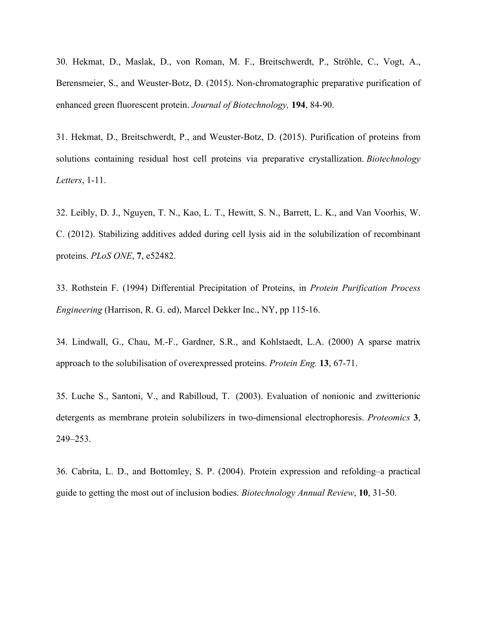30. Hekmat, D., Maslak, D., von Roman, M. F., Breitschwerdt, P., Ströhle, C., Vogt, A., Berensmeier, S., and Weuster-Botz, D. (2015). Non-chromatographic preparative purification of enhanced green fluorescent protein. *Journal of Biotechnology,* **194**, 84-90.

31. Hekmat, D., Breitschwerdt, P., and Weuster-Botz, D. (2015). Purification of proteins from solutions containing residual host cell proteins via preparative crystallization. *Biotechnology Letters*, 1-11.

32. Leibly, D. J., Nguyen, T. N., Kao, L. T., Hewitt, S. N., Barrett, L. K., and Van Voorhis, W. C. (2012). Stabilizing additives added during cell lysis aid in the solubilization of recombinant proteins. *PLoS ONE*, **7**, e52482.

33. Rothstein F. (1994) Differential Precipitation of Proteins, in *Protein Purification Process Engineering* (Harrison, R. G. ed), Marcel Dekker Inc., NY, pp 115-16.

34. Lindwall, G., Chau, M.-F., Gardner, S.R., and Kohlstaedt, L.A. (2000) A sparse matrix approach to the solubilisation of overexpressed proteins. *Protein Eng.* **13**, 67-71.

35. Luche S., Santoni, V., and Rabilloud, T. (2003). Evaluation of nonionic and zwitterionic detergents as membrane protein solubilizers in two-dimensional electrophoresis. *Proteomics* **3**, 249–253.

36. Cabrita, L. D., and Bottomley, S. P. (2004). Protein expression and refolding–a practical guide to getting the most out of inclusion bodies. *Biotechnology Annual Review*, **10**, 31-50.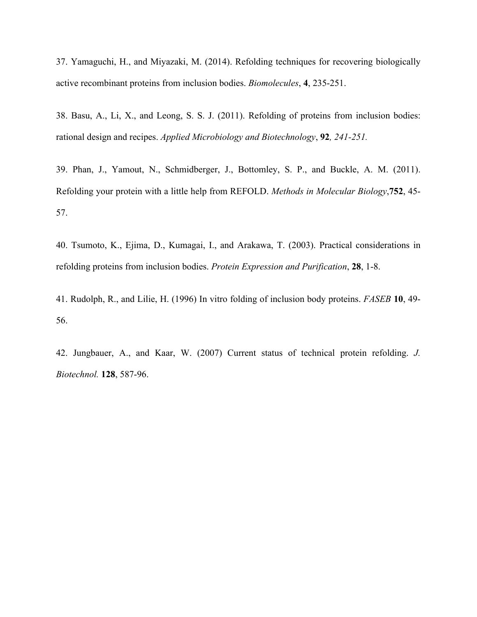37. Yamaguchi, H., and Miyazaki, M. (2014). Refolding techniques for recovering biologically active recombinant proteins from inclusion bodies. *Biomolecules*, **4**, 235-251.

38. Basu, A., Li, X., and Leong, S. S. J. (2011). Refolding of proteins from inclusion bodies: rational design and recipes. *Applied Microbiology and Biotechnology*, **92***, 241-251.*

39. Phan, J., Yamout, N., Schmidberger, J., Bottomley, S. P., and Buckle, A. M. (2011). Refolding your protein with a little help from REFOLD. *Methods in Molecular Biology*,**752**, 45- 57.

40. Tsumoto, K., Ejima, D., Kumagai, I., and Arakawa, T. (2003). Practical considerations in refolding proteins from inclusion bodies. *Protein Expression and Purification*, **28**, 1-8.

41. Rudolph, R., and Lilie, H. (1996) In vitro folding of inclusion body proteins. *FASEB* **10**, 49- 56.

42. Jungbauer, A., and Kaar, W. (2007) Current status of technical protein refolding. *J. Biotechnol.* **128**, 587-96.